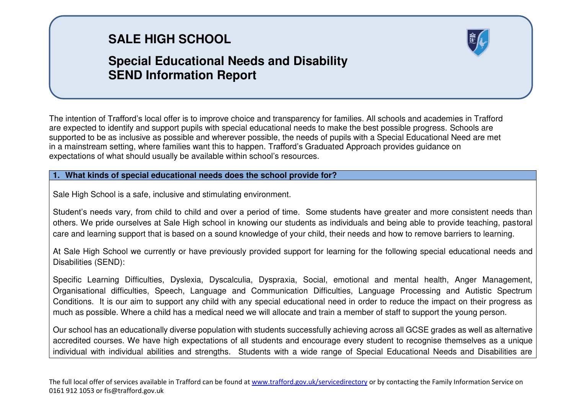# **SALE HIGH SCHOOL**

## **Special Educational Needs and Disability SEND Information Report**

The intention of Trafford's local offer is to improve choice and transparency for families. All schools and academies in Trafford are expected to identify and support pupils with special educational needs to make the best possible progress. Schools are supported to be as inclusive as possible and wherever possible, the needs of pupils with a Special Educational Need are met in a mainstream setting, where families want this to happen. Trafford's Graduated Approach provides guidance on expectations of what should usually be available within school's resources.

### **1. What kinds of special educational needs does the school provide for?**

Sale High School is a safe, inclusive and stimulating environment.

Student's needs vary, from child to child and over a period of time. Some students have greater and more consistent needs than others. We pride ourselves at Sale High school in knowing our students as individuals and being able to provide teaching, pastoral care and learning support that is based on a sound knowledge of your child, their needs and how to remove barriers to learning.

At Sale High School we currently or have previously provided support for learning for the following special educational needs and Disabilities (SEND):

Specific Learning Difficulties, Dyslexia, Dyscalculia, Dyspraxia, Social, emotional and mental health, Anger Management, Organisational difficulties, Speech, Language and Communication Difficulties, Language Processing and Autistic Spectrum Conditions. It is our aim to support any child with any special educational need in order to reduce the impact on their progress as much as possible. Where a child has a medical need we will allocate and train a member of staff to support the young person.

Our school has an educationally diverse population with students successfully achieving across all GCSE grades as well as alternative accredited courses. We have high expectations of all students and encourage every student to recognise themselves as a unique individual with individual abilities and strengths. Students with a wide range of Special Educational Needs and Disabilities are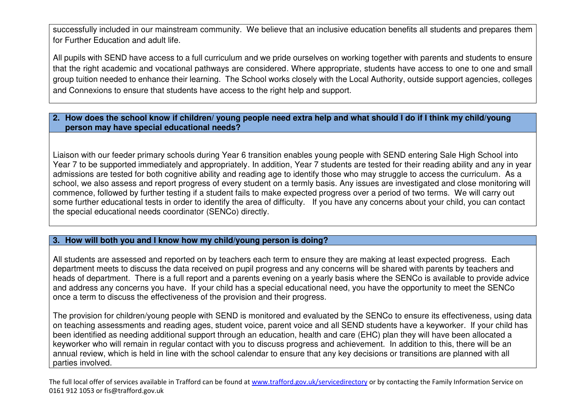successfully included in our mainstream community. We believe that an inclusive education benefits all students and prepares them for Further Education and adult life.

All pupils with SEND have access to a full curriculum and we pride ourselves on working together with parents and students to ensure that the right academic and vocational pathways are considered. Where appropriate, students have access to one to one and small group tuition needed to enhance their learning. The School works closely with the Local Authority, outside support agencies, colleges and Connexions to ensure that students have access to the right help and support.

#### **2. How does the school know if children/ young people need extra help and what should I do if I think my child/young person may have special educational needs?**

Liaison with our feeder primary schools during Year 6 transition enables young people with SEND entering Sale High School into Year 7 to be supported immediately and appropriately. In addition, Year 7 students are tested for their reading ability and any in year admissions are tested for both cognitive ability and reading age to identify those who may struggle to access the curriculum. As a school, we also assess and report progress of every student on a termly basis. Any issues are investigated and close monitoring will commence, followed by further testing if a student fails to make expected progress over a period of two terms. We will carry out some further educational tests in order to identify the area of difficulty. If you have any concerns about your child, you can contact the special educational needs coordinator (SENCo) directly.

#### **3. How will both you and I know how my child/young person is doing?**

All students are assessed and reported on by teachers each term to ensure they are making at least expected progress. Each department meets to discuss the data received on pupil progress and any concerns will be shared with parents by teachers and heads of department. There is a full report and a parents evening on a yearly basis where the SENCo is available to provide advice and address any concerns you have. If your child has a special educational need, you have the opportunity to meet the SENCo once a term to discuss the effectiveness of the provision and their progress.

The provision for children/young people with SEND is monitored and evaluated by the SENCo to ensure its effectiveness, using data on teaching assessments and reading ages, student voice, parent voice and all SEND students have a keyworker. If your child has been identified as needing additional support through an education, health and care (EHC) plan they will have been allocated a keyworker who will remain in regular contact with you to discuss progress and achievement. In addition to this, there will be an annual review, which is held in line with the school calendar to ensure that any key decisions or transitions are planned with all parties involved.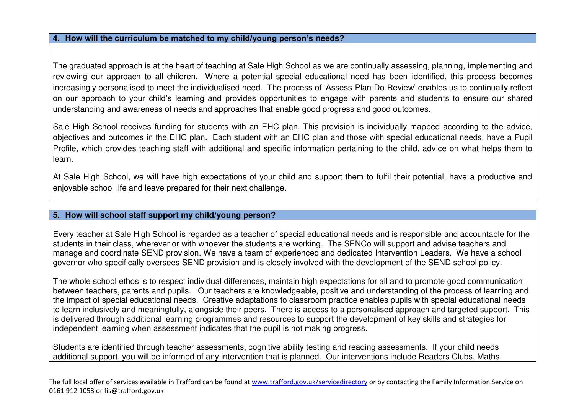#### **4. How will the curriculum be matched to my child/young person's needs?**

The graduated approach is at the heart of teaching at Sale High School as we are continually assessing, planning, implementing and reviewing our approach to all children. Where a potential special educational need has been identified, this process becomes increasingly personalised to meet the individualised need. The process of 'Assess-Plan-Do-Review' enables us to continually reflect on our approach to your child's learning and provides opportunities to engage with parents and students to ensure our shared understanding and awareness of needs and approaches that enable good progress and good outcomes.

Sale High School receives funding for students with an EHC plan. This provision is individually mapped according to the advice, objectives and outcomes in the EHC plan. Each student with an EHC plan and those with special educational needs, have a Pupil Profile, which provides teaching staff with additional and specific information pertaining to the child, advice on what helps them to learn.

At Sale High School, we will have high expectations of your child and support them to fulfil their potential, have a productive and enjoyable school life and leave prepared for their next challenge.

#### **5. How will school staff support my child/young person?**

Every teacher at Sale High School is regarded as a teacher of special educational needs and is responsible and accountable for the students in their class, wherever or with whoever the students are working. The SENCo will support and advise teachers and manage and coordinate SEND provision. We have a team of experienced and dedicated Intervention Leaders. We have a school governor who specifically oversees SEND provision and is closely involved with the development of the SEND school policy.

The whole school ethos is to respect individual differences, maintain high expectations for all and to promote good communication between teachers, parents and pupils. Our teachers are knowledgeable, positive and understanding of the process of learning and the impact of special educational needs. Creative adaptations to classroom practice enables pupils with special educational needs to learn inclusively and meaningfully, alongside their peers. There is access to a personalised approach and targeted support. This is delivered through additional learning programmes and resources to support the development of key skills and strategies for independent learning when assessment indicates that the pupil is not making progress.

Students are identified through teacher assessments, cognitive ability testing and reading assessments. If your child needs additional support, you will be informed of any intervention that is planned. Our interventions include Readers Clubs, Maths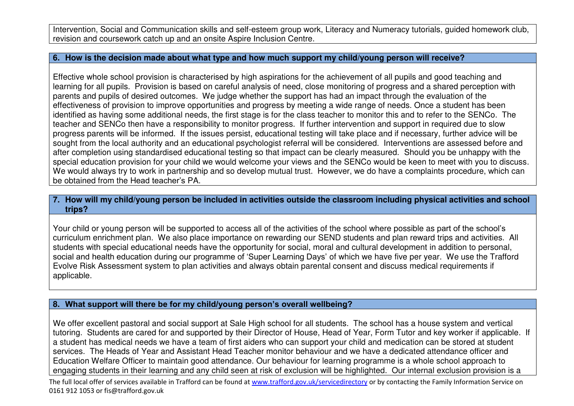Intervention, Social and Communication skills and self-esteem group work, Literacy and Numeracy tutorials, guided homework club, revision and coursework catch up and an onsite Aspire Inclusion Centre.

#### **6. How is the decision made about what type and how much support my child/young person will receive?**

Effective whole school provision is characterised by high aspirations for the achievement of all pupils and good teaching and learning for all pupils. Provision is based on careful analysis of need, close monitoring of progress and a shared perception with parents and pupils of desired outcomes. We judge whether the support has had an impact through the evaluation of the effectiveness of provision to improve opportunities and progress by meeting a wide range of needs. Once a student has been identified as having some additional needs, the first stage is for the class teacher to monitor this and to refer to the SENCo. The teacher and SENCo then have a responsibility to monitor progress. If further intervention and support in required due to slow progress parents will be informed. If the issues persist, educational testing will take place and if necessary, further advice will be sought from the local authority and an educational psychologist referral will be considered. Interventions are assessed before and after completion using standardised educational testing so that impact can be clearly measured. Should you be unhappy with the special education provision for your child we would welcome your views and the SENCo would be keen to meet with you to discuss. We would always try to work in partnership and so develop mutual trust. However, we do have a complaints procedure, which can be obtained from the Head teacher's PA.

#### **7. How will my child/young person be included in activities outside the classroom including physical activities and school trips?**

Your child or young person will be supported to access all of the activities of the school where possible as part of the school's curriculum enrichment plan. We also place importance on rewarding our SEND students and plan reward trips and activities. All students with special educational needs have the opportunity for social, moral and cultural development in addition to personal, social and health education during our programme of 'Super Learning Days' of which we have five per year. We use the Trafford Evolve Risk Assessment system to plan activities and always obtain parental consent and discuss medical requirements if applicable.

#### **8. What support will there be for my child/young person's overall wellbeing?**

We offer excellent pastoral and social support at Sale High school for all students. The school has a house system and vertical tutoring. Students are cared for and supported by their Director of House, Head of Year, Form Tutor and key worker if applicable. If a student has medical needs we have a team of first aiders who can support your child and medication can be stored at student services. The Heads of Year and Assistant Head Teacher monitor behaviour and we have a dedicated attendance officer and Education Welfare Officer to maintain good attendance. Our behaviour for learning programme is a whole school approach to engaging students in their learning and any child seen at risk of exclusion will be highlighted. Our internal exclusion provision is a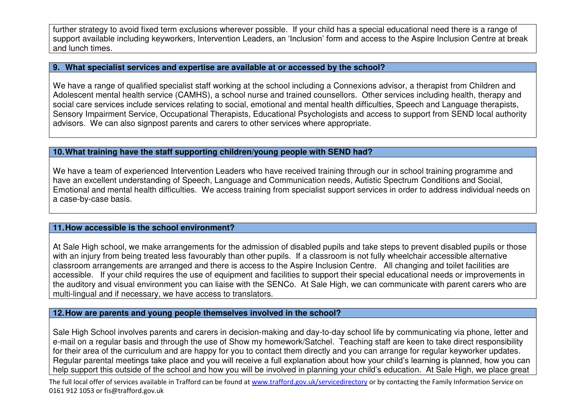further strategy to avoid fixed term exclusions wherever possible. If your child has a special educational need there is a range of support available including keyworkers, Intervention Leaders, an 'Inclusion' form and access to the Aspire Inclusion Centre at break and lunch times.

#### **9. What specialist services and expertise are available at or accessed by the school?**

We have a range of qualified specialist staff working at the school including a Connexions advisor, a therapist from Children and Adolescent mental health service (CAMHS), a school nurse and trained counsellors. Other services including health, therapy and social care services include services relating to social, emotional and mental health difficulties, Speech and Language therapists, Sensory Impairment Service, Occupational Therapists, Educational Psychologists and access to support from SEND local authority advisors. We can also signpost parents and carers to other services where appropriate.

#### **10. What training have the staff supporting children/young people with SEND had?**

We have a team of experienced Intervention Leaders who have received training through our in school training programme and have an excellent understanding of Speech, Language and Communication needs, Autistic Spectrum Conditions and Social, Emotional and mental health difficulties. We access training from specialist support services in order to address individual needs on a case-by-case basis.

#### **11. How accessible is the school environment?**

At Sale High school, we make arrangements for the admission of disabled pupils and take steps to prevent disabled pupils or those with an injury from being treated less favourably than other pupils. If a classroom is not fully wheelchair accessible alternative classroom arrangements are arranged and there is access to the Aspire Inclusion Centre. All changing and toilet facilities are accessible. If your child requires the use of equipment and facilities to support their special educational needs or improvements in the auditory and visual environment you can liaise with the SENCo. At Sale High, we can communicate with parent carers who are multi-lingual and if necessary, we have access to translators.

#### **12. How are parents and young people themselves involved in the school?**

Sale High School involves parents and carers in decision-making and day-to-day school life by communicating via phone, letter and e-mail on a regular basis and through the use of Show my homework/Satchel. Teaching staff are keen to take direct responsibility for their area of the curriculum and are happy for you to contact them directly and you can arrange for regular keyworker updates. Regular parental meetings take place and you will receive a full explanation about how your child's learning is planned, how you can help support this outside of the school and how you will be involved in planning your child's education. At Sale High, we place great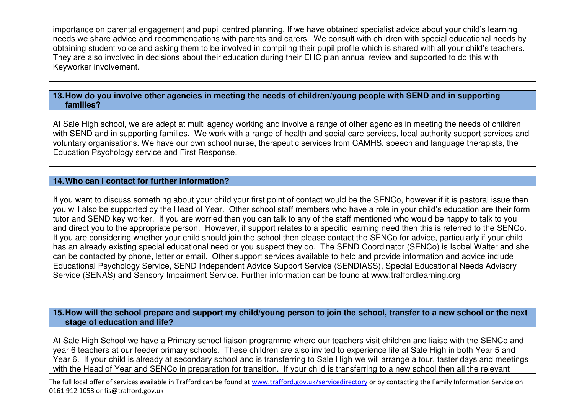importance on parental engagement and pupil centred planning. If we have obtained specialist advice about your child's learning needs we share advice and recommendations with parents and carers. We consult with children with special educational needs by obtaining student voice and asking them to be involved in compiling their pupil profile which is shared with all your child's teachers. They are also involved in decisions about their education during their EHC plan annual review and supported to do this with Keyworker involvement.

#### **13. How do you involve other agencies in meeting the needs of children/young people with SEND and in supporting families?**

At Sale High school, we are adept at multi agency working and involve a range of other agencies in meeting the needs of children with SEND and in supporting families. We work with a range of health and social care services, local authority support services and voluntary organisations. We have our own school nurse, therapeutic services from CAMHS, speech and language therapists, the Education Psychology service and First Response.

#### **14. Who can I contact for further information?**

If you want to discuss something about your child your first point of contact would be the SENCo, however if it is pastoral issue then you will also be supported by the Head of Year. Other school staff members who have a role in your child's education are their form tutor and SEND key worker. If you are worried then you can talk to any of the staff mentioned who would be happy to talk to you and direct you to the appropriate person. However, if support relates to a specific learning need then this is referred to the SENCo. If you are considering whether your child should join the school then please contact the SENCo for advice, particularly if your child has an already existing special educational need or you suspect they do. The SEND Coordinator (SENCo) is Isobel Walter and she can be contacted by phone, letter or email. Other support services available to help and provide information and advice include Educational Psychology Service, SEND Independent Advice Support Service (SENDIASS), Special Educational Needs Advisory Service (SENAS) and Sensory Impairment Service. Further information can be found at www.traffordlearning.org

#### **15. How will the school prepare and support my child/young person to join the school, transfer to a new school or the next stage of education and life?**

At Sale High School we have a Primary school liaison programme where our teachers visit children and liaise with the SENCo and year 6 teachers at our feeder primary schools. These children are also invited to experience life at Sale High in both Year 5 and Year 6. If your child is already at secondary school and is transferring to Sale High we will arrange a tour, taster days and meetings with the Head of Year and SENCo in preparation for transition. If your child is transferring to a new school then all the relevant